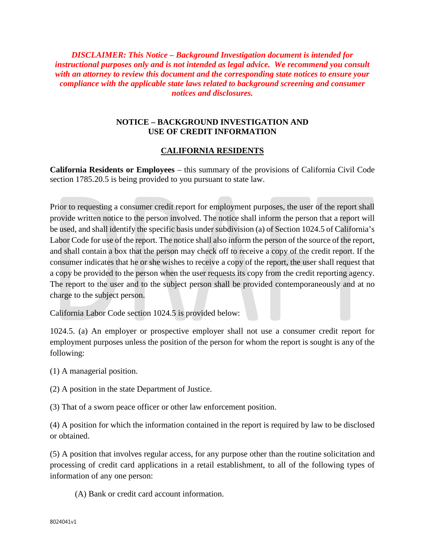*DISCLAIMER: This Notice – Background Investigation document is intended for instructional purposes only and is not intended as legal advice. We recommend you consult with an attorney to review this document and the corresponding state notices to ensure your compliance with the applicable state laws related to background screening and consumer notices and disclosures.*

## **NOTICE – BACKGROUND INVESTIGATION AND USE OF CREDIT INFORMATION**

## **CALIFORNIA RESIDENTS**

**California Residents or Employees** – this summary of the provisions of California Civil Code section 1785.20.5 is being provided to you pursuant to state law.

Prior to requesting a consumer credit report for employment purposes, the user of the report shall provide written notice to the person involved. The notice shall inform the person that a report will be used, and shall identify the specific basis under subdivision (a) of Section 1024.5 of California's Labor Code for use of the report. The notice shall also inform the person of the source of the report, and shall contain a box that the person may check off to receive a copy of the credit report. If the consumer indicates that he or she wishes to receive a copy of the report, the user shall request that a copy be provided to the person when the user requests its copy from the credit reporting agency. The report to the user and to the subject person shall be provided contemporaneously and at no charge to the subject person.

California Labor Code section 1024.5 is provided below:

1024.5. (a) An employer or prospective employer shall not use a consumer credit report for employment purposes unless the position of the person for whom the report is sought is any of the following:

- (1) A managerial position.
- (2) A position in the state Department of Justice.
- (3) That of a sworn peace officer or other law enforcement position.

(4) A position for which the information contained in the report is required by law to be disclosed or obtained.

(5) A position that involves regular access, for any purpose other than the routine solicitation and processing of credit card applications in a retail establishment, to all of the following types of information of any one person:

(A) Bank or credit card account information.